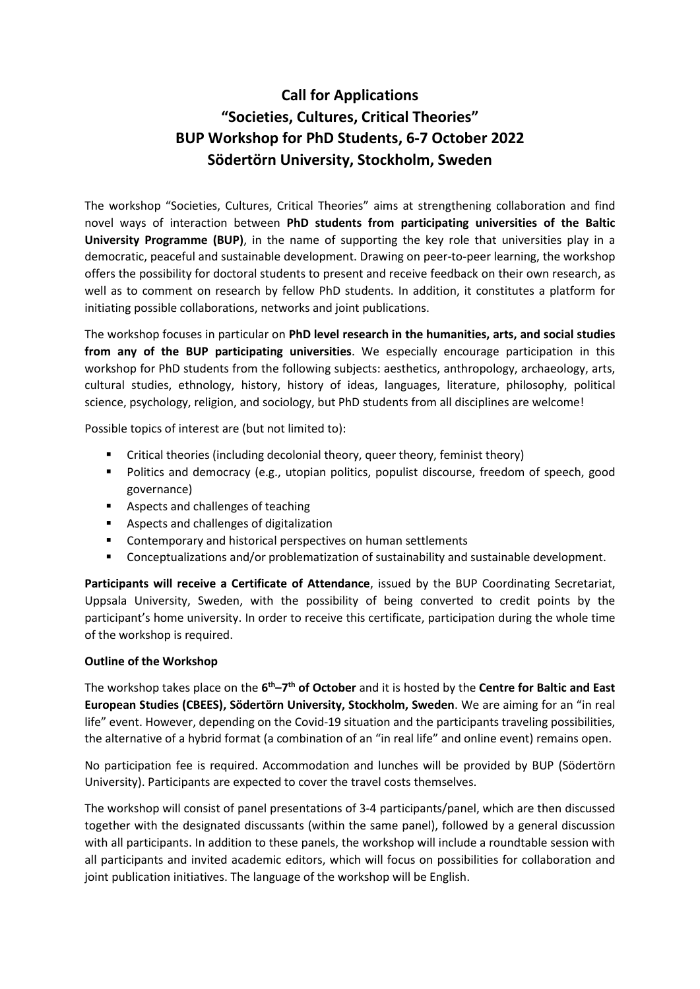## **Call for Applications "Societies, Cultures, Critical Theories" BUP Workshop for PhD Students, 6-7 October 2022 Södertörn University, Stockholm, Sweden**

The workshop "Societies, Cultures, Critical Theories" aims at strengthening collaboration and find novel ways of interaction between **PhD students from participating universities of the Baltic University Programme (BUP)**, in the name of supporting the key role that universities play in a democratic, peaceful and sustainable development. Drawing on peer-to-peer learning, the workshop offers the possibility for doctoral students to present and receive feedback on their own research, as well as to comment on research by fellow PhD students. In addition, it constitutes a platform for initiating possible collaborations, networks and joint publications.

The workshop focuses in particular on **PhD level research in the humanities, arts, and social studies from any of the BUP participating universities**. We especially encourage participation in this workshop for PhD students from the following subjects: aesthetics, anthropology, archaeology, arts, cultural studies, ethnology, history, history of ideas, languages, literature, philosophy, political science, psychology, religion, and sociology, but PhD students from all disciplines are welcome!

Possible topics of interest are (but not limited to):

- Critical theories (including decolonial theory, queer theory, feminist theory)
- Politics and democracy (e.g., utopian politics, populist discourse, freedom of speech, good governance)
- Aspects and challenges of teaching
- Aspects and challenges of digitalization
- Contemporary and historical perspectives on human settlements
- Conceptualizations and/or problematization of sustainability and sustainable development.

**Participants will receive a Certificate of Attendance**, issued by the BUP Coordinating Secretariat, Uppsala University, Sweden, with the possibility of being converted to credit points by the participant's home university. In order to receive this certificate, participation during the whole time of the workshop is required.

## **Outline of the Workshop**

The workshop takes place on the  $6<sup>th</sup>-7<sup>th</sup>$  of October and it is hosted by the Centre for Baltic and East **European Studies (CBEES), Södertörn University, Stockholm, Sweden**. We are aiming for an "in real life" event. However, depending on the Covid-19 situation and the participants traveling possibilities, the alternative of a hybrid format (a combination of an "in real life" and online event) remains open.

No participation fee is required. Accommodation and lunches will be provided by BUP (Södertörn University). Participants are expected to cover the travel costs themselves.

The workshop will consist of panel presentations of 3-4 participants/panel, which are then discussed together with the designated discussants (within the same panel), followed by a general discussion with all participants. In addition to these panels, the workshop will include a roundtable session with all participants and invited academic editors, which will focus on possibilities for collaboration and joint publication initiatives. The language of the workshop will be English.